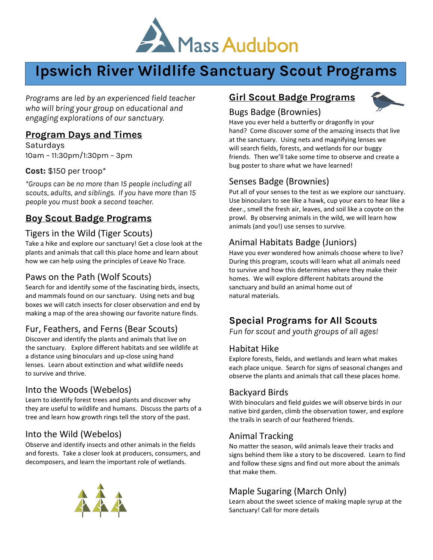

# **Ipswich River Wildlife Sanctuary Scout Programs**

*Programs are led by an experienced field teacher who will bring your group on educational and engaging explorations of our sanctuary.*

# **Program Days and Times**

Saturdays 10am – 11:30pm/1:30pm – 3pm

#### **Cost:** \$150 per troop\*

*\*Groups can be no more than 15 people including all scouts, adults, and siblings. If you have more than 15 people you must book a second teacher.*

# **Boy Scout Badge Programs**

# Tigers in the Wild (Tiger Scouts)

Take a hike and explore our sanctuary! Get a close look at the plants and animals that call this place home and learn about how we can help using the principles of Leave No Trace.

# Paws on the Path (Wolf Scouts)

Search for and identify some of the fascinating birds, insects, and mammals found on our sanctuary. Using nets and bug boxes we will catch insects for closer observation and end by making a map of the area showing our favorite nature finds.

# Fur, Feathers, and Ferns (Bear Scouts)

Discover and identify the plants and animals that live on the sanctuary. Explore different habitats and see wildlife at a distance using binoculars and up-close using hand lenses. Learn about extinction and what wildlife needs to survive and thrive.

# Into the Woods (Webelos)

Learn to identify forest trees and plants and discover why they are useful to wildlife and humans. Discuss the parts of a tree and learn how growth rings tell the story of the past.

# Into the Wild (Webelos)

Observe and identify insects and other animals in the fields and forests. Take a closer look at producers, consumers, and decomposers, and learn the important role of wetlands.

# **Girl Scout Badge Programs**



# Bugs Badge (Brownies)

Have you ever held a butterfly or dragonfly in your hand? Come discover some of the amazing insects that live at the sanctuary. Using nets and magnifying lenses we will search fields, forests, and wetlands for our buggy friends. Then we'll take some time to observe and create a bug poster to share what we have learned!

# Senses Badge (Brownies)

Put all of your senses to the test as we explore our sanctuary. Use binoculars to see like a hawk, cup your ears to hear like a deer., smell the fresh air, leaves, and soil like a coyote on the prowl. By observing animals in the wild, we will learn how animals (and you!) use senses to survive.

# Animal Habitats Badge (Juniors)

Have you ever wondered how animals choose where to live? During this program, scouts will learn what all animals need to survive and how this determines where they make their homes. We will explore different habitats around the sanctuary and build an animal home out of natural materials.

# **Special Programs for All Scouts**

*Fun for scout and youth groups of all ages!*

#### Habitat Hike

Explore forests, fields, and wetlands and learn what makes each place unique. Search for signs of seasonal changes and observe the plants and animals that call these places home.

# Backyard Birds

With binoculars and field guides we will observe birds in our native bird garden, climb the observation tower, and explore the trails in search of our feathered friends.

# Animal Tracking

No matter the season, wild animals leave their tracks and signs behind them like a story to be discovered. Learn to find and follow these signs and find out more about the animals that make them.

# Maple Sugaring (March Only)

Learn about the sweet science of making maple syrup at the Sanctuary! Call for more details